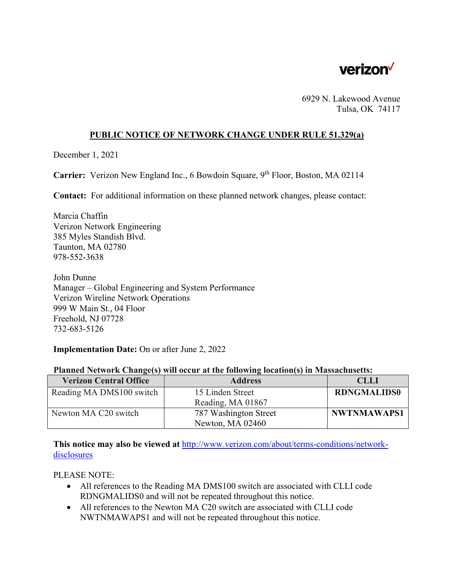

6929 N. Lakewood Avenue Tulsa, OK 74117

## **PUBLIC NOTICE OF NETWORK CHANGE UNDER RULE 51.329(a)**

December 1, 2021

**Carrier:** Verizon New England Inc., 6 Bowdoin Square, 9<sup>th</sup> Floor, Boston, MA 02114

**Contact:** For additional information on these planned network changes, please contact:

Marcia Chaffin Verizon Network Engineering 385 Myles Standish Blvd. Taunton, MA 02780 978-552-3638

John Dunne Manager – Global Engineering and System Performance Verizon Wireline Network Operations 999 W Main St., 04 Floor Freehold, NJ 07728 732-683-5126

**Implementation Date:** On or after June 2, 2022

|  |  | Planned Network Change(s) will occur at the following location(s) in Massachusetts: |
|--|--|-------------------------------------------------------------------------------------|
|  |  |                                                                                     |

| <b>Verizon Central Office</b> | <b>Address</b>        | <b>CLLI</b>        |
|-------------------------------|-----------------------|--------------------|
| Reading MA DMS100 switch      | 15 Linden Street      | <b>RDNGMALIDS0</b> |
|                               | Reading, MA 01867     |                    |
| Newton MA C20 switch          | 787 Washington Street | <b>NWTNMAWAPS1</b> |
|                               | Newton, MA 02460      |                    |

**This notice may also be viewed at** http://www.verizon.com/about/terms-conditions/networkdisclosures

PLEASE NOTE:

- All references to the Reading MA DMS100 switch are associated with CLLI code RDNGMALIDS0 and will not be repeated throughout this notice.
- All references to the Newton MA C20 switch are associated with CLLI code NWTNMAWAPS1 and will not be repeated throughout this notice.